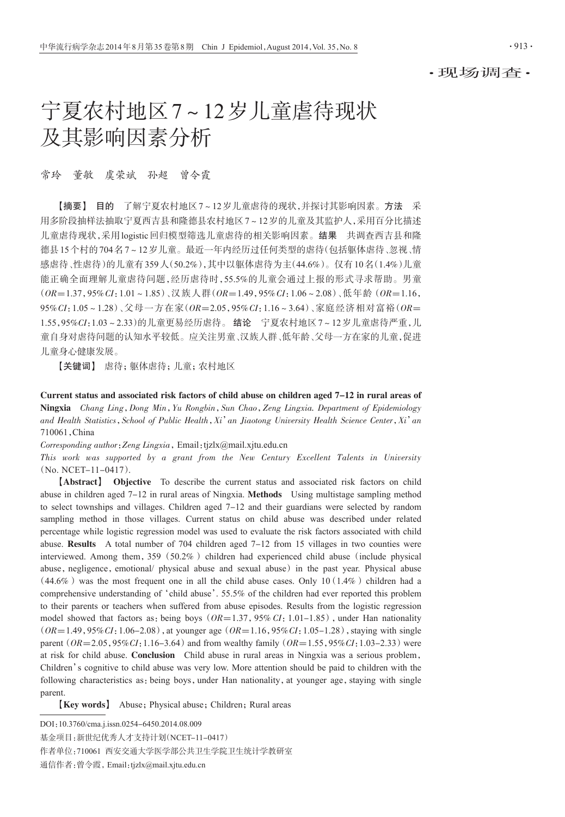·现场调查·

# 宁夏农村地区7~12岁儿童虐待现状 及其影响因素分析

常玲 董敏 虞荣斌 孙超 曾令霞

【摘要】 目的 了解宁夏农村地区7~12岁儿童虐待的现状,并探讨其影响因素。方法 采 用多阶段抽样法抽取宁夏西吉县和隆德县农村地区7~12岁的儿童及其监护人,采用百分比描述 儿童虐待现状,采用logistic回归模型筛选儿童虐待的相关影响因素。结果 共调查西吉县和隆 德县15个村的704名7~12岁儿童。最近一年内经历过任何类型的虐待(包括躯体虐待、忽视、情 感虐待、性虐待)的儿童有359人(50.2%),其中以躯体虐待为主(44.6%)。仅有10名(1.4%)儿童 能正确全面理解儿童虐待问题,经历虐待时,55.5%的儿童会通过上报的形式寻求帮助。男童  $(OR=1.37, 95\% CI: 1.01 \sim 1.85)$ 、汉族人群 $(OR=1.49, 95\% CI: 1.06 \sim 2.08)$ 、低年龄 $(OR=1.16,$ 95%CI:1.05~1.28)、父母一方在家(OR=2.05,95%CI:1.16~3.64)、家庭经济相对富裕(OR= 1.55,95%CI:1.03~2.33)的儿童更易经历虐待。 结论 宁夏农村地区7~12岁儿童虐待严重,儿 童自身对虐待问题的认知水平较低。应关注男童、汉族人群、低年龄、父母一方在家的儿童,促进 儿童身心健康发展。

【关键词】 虐待;躯体虐待;儿童;农村地区

Current status and associated risk factors of child abuse on children aged 7-12 in rural areas of Ningxia Chang Ling,Dong Min,Yu Rongbin,Sun Chao,Zeng Lingxia. Department of Epidemiology and Health Statistics, School of Public Health, Xi' an Jiaotong University Health Science Center, Xi' an 710061,China

Corresponding author:Zeng Lingxia,Email:tjzlx@mail.xjtu.edu.cn

This work was supported by a grant from the New Century Excellent Talents in University (No. NCET-11-0417).

【Abstract】 Objective To describe the current status and associated risk factors on child abuse in children aged 7-12 in rural areas of Ningxia. Methods Using multistage sampling method to select townships and villages. Children aged 7-12 and their guardians were selected by random sampling method in those villages. Current status on child abuse was described under related percentage while logistic regression model was used to evaluate the risk factors associated with child abuse. Results A total number of  $704$  children aged  $7-12$  from 15 villages in two counties were interviewed. Among them,  $359(50.2\%)$  children had experienced child abuse (include physical abuse, negligence, emotional/ physical abuse and sexual abuse) in the past year. Physical abuse  $(44.6\%)$  was the most frequent one in all the child abuse cases. Only 10(1.4%) children had a comprehensive understanding of'child abuse'. 55.5% of the children had ever reported this problem to their parents or teachers when suffered from abuse episodes. Results from the logistic regression model showed that factors as: being boys ( $OR=1.37$ , 95% CI: 1.01-1.85), under Han nationality  $(OR=1.49, 95\% CI: 1.06-2.08)$ , at younger age  $(OR=1.16, 95\% CI: 1.05-1.28)$ , staying with single parent  $(OR=2.05, 95\%CI:1.16-3.64)$  and from wealthy family  $(OR=1.55, 95\%CI:1.03-2.33)$  were at risk for child abuse. Conclusion Child abuse in rural areas in Ningxia was a serious problem, Children's cognitive to child abuse was very low. More attention should be paid to children with the following characteristics as: being boys, under Han nationality, at younger age, staying with single parent.

**[Key words]** Abuse; Physical abuse; Children; Rural areas

DOI:10.3760/cma.j.issn.0254-6450.2014.08.009

作者单位:710061 西安交通大学医学部公共卫生学院卫生统计学教研室

基金项目:新世纪优秀人才支持计划(NCET-11-0417)

通信作者:曾令霞,Email:tjzlx@mail.xjtu.edu.cn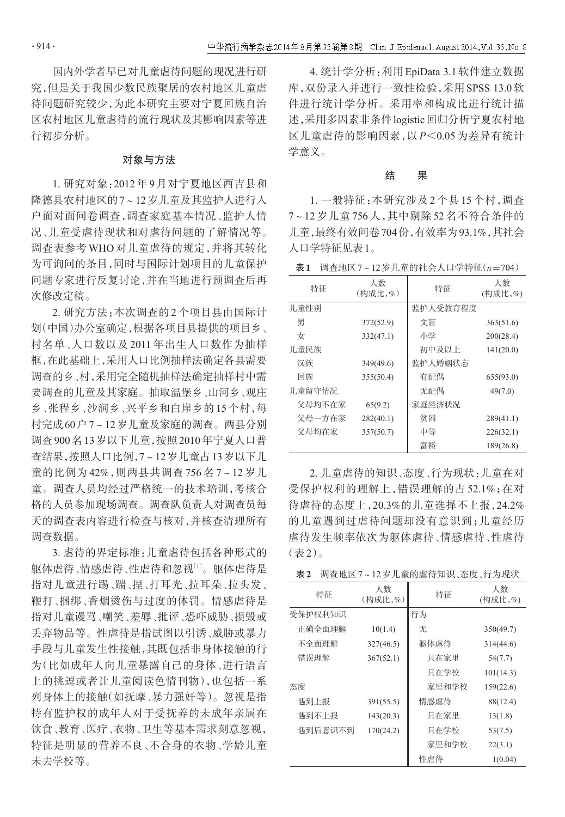国内外学者早已对儿童虐待问题的现况进行研 究,但是关于我国少数民族聚居的农村地区儿童虐 待问题研究较少,为此本研究主要对宁夏回族自治 区农村地区儿童虐待的流行现状及其影响因素等进 行初步分析。

### 对象与方法

1. 研究对象:2012年9月对宁夏地区西吉县和 隆德县农村地区的7~12岁儿童及其监护人进行入 户面对面问卷调查,调查家庭基本情况、监护人情 况、儿童受虐待现状和对虐待问题的了解情况等。 调查表参考 WHO 对儿童虐待的规定,并将其转化 为可询问的条目,同时与国际计划项目的儿童保护 问题专家进行反复讨论,并在当地进行预调查后再 次修改定稿。

2. 研究方法:本次调查的 2 个项目县由国际计 划(中国)办公室确定,根据各项目县提供的项目乡、 村名单、人口数以及 2011 年出生人口数作为抽样 框,在此基础上,采用人口比例抽样法确定各县需要 调查的乡、村,采用完全随机抽样法确定抽样村中需 要调查的儿童及其家庭。抽取温堡乡、山河乡、观庄 乡、张程乡、沙涧乡、兴平乡和白崖乡的15个村,每 村完成60户7~12岁儿童及家庭的调查。两县分别 调查900名13岁以下儿童,按照2010年宁夏人口普 查结果,按照人口比例,7~12岁儿童占13岁以下儿 童的比例为 42%,则两县共调查 756 名 7~12 岁儿 童。调查人员均经过严格统一的技术培训,考核合 格的人员参加现场调查。调查队负责人对调查员每 天的调查表内容进行检查与核对,并核查清理所有 调查数据。

3. 虐待的界定标准:儿童虐待包括各种形式的 躯体虐待、情感虐待、性虐待和忽视[1]。 躯体虐待是 指对儿童进行踢、踹、捏、打耳光、拉耳朵、拉头发、 鞭打、捆绑、香烟烫伤与过度的体罚。情感虐待是 指对儿童谩骂、嘲笑、羞辱、批评、恐吓威胁、损毁或 丢弃物品等。性虐待是指试图以引诱、威胁或暴力 手段与儿童发生性接触,其既包括非身体接触的行 为(比如成年人向儿童暴露自己的身体、进行语言 上的挑逗或者让儿童阅读色情刊物),也包括一系 列身体上的接触(如抚摩、暴力强奸等)。忽视是指 持有监护权的成年人对于受抚养的未成年亲属在 饮食、教育、医疗、衣物、卫生等基本需求刻意忽视, 特征是明显的营养不良、不合身的衣物、学龄儿童 未去学校等。

4. 统计学分析:利用EpiData 3.1软件建立数据 库,双份录入并进行一致性检验,采用SPSS 13.0软 件进行统计学分析。采用率和构成比进行统计描 述,采用多因素非条件logistic回归分析宁夏农村地 区儿童虐待的影响因素,以 P<0.05 为差异有统计 学意义。

## 结 果

1. 一般特征:本研究涉及 2 个县 15 个村,调查 7~12 岁儿童 756 人,其中剔除 52 名不符合条件的 儿童,最终有效问卷704份,有效率为93.1%,其社会 人口学特征见表1。

表 $1$  调查地区 $7 \sim 12$ 岁儿童的社会人口学特征 $(n=704)$ 

| 特征     | 人数<br>(构成比,%) | 特征       | 人数<br>(构成比,%) |
|--------|---------------|----------|---------------|
| 儿童性别   |               | 监护人受教育程度 |               |
| 男      | 372(52.9)     | 文盲       | 363(51.6)     |
| 女      | 332(47.1)     | 小学       | 200(28.4)     |
| 儿童民族   |               | 初中及以上    | 141(20.0)     |
| 汉族     | 349(49.6)     | 监护人婚姻状态  |               |
| 回族     | 355(50.4)     | 有配偶      | 655(93.0)     |
| 儿童留守情况 |               | 无配偶      | 49(7.0)       |
| 父母均不在家 | 65(9.2)       | 家庭经济状况   |               |
| 父母一方在家 | 282(40.1)     | 贫困       | 289(41.1)     |
| 父母均在家  | 357(50.7)     | 中等       | 226(32.1)     |
|        |               | 富裕       | 189(26.8)     |

2. 儿童虐待的知识、态度、行为现状:儿童在对 受保护权利的理解上,错误理解的占 52.1%;在对 待虐待的态度上,20.3%的儿童选择不上报,24.2% 的儿童遇到过虐待问题却没有意识到;儿童经历 虐待发生频率依次为躯体虐待、情感虐待、性虐待 (表2)。

|  |  |  | 表2 调查地区7~12岁儿童的虐待知识、态度、行为现状 |  |
|--|--|--|-----------------------------|--|
|--|--|--|-----------------------------|--|

| 特征      | 人数<br>(构成比,%) | 特征    | 人数<br>(构成比,%) |
|---------|---------------|-------|---------------|
| 受保护权利知识 |               | 行为    |               |
| 正确全面理解  | 10(1.4)       | 无     | 350(49.7)     |
| 不全面理解   | 327(46.5)     | 躯体虐待  | 314(44.6)     |
| 错误理解    | 367(52.1)     | 只在家里  | 54(7.7)       |
|         |               | 只在学校  | 101(14.3)     |
| 杰度      |               | 家里和学校 | 159(22.6)     |
| 遇到上报    | 391(55.5)     | 情感虐待  | 88(12.4)      |
| 遇到不上报   | 143(20.3)     | 只在家里  | 13(1.8)       |
| 遇到后意识不到 | 170(24.2)     | 只在学校  | 53(7.5)       |
|         |               | 家里和学校 | 22(3.1)       |
|         |               | 性虐待   | 1(0.04)       |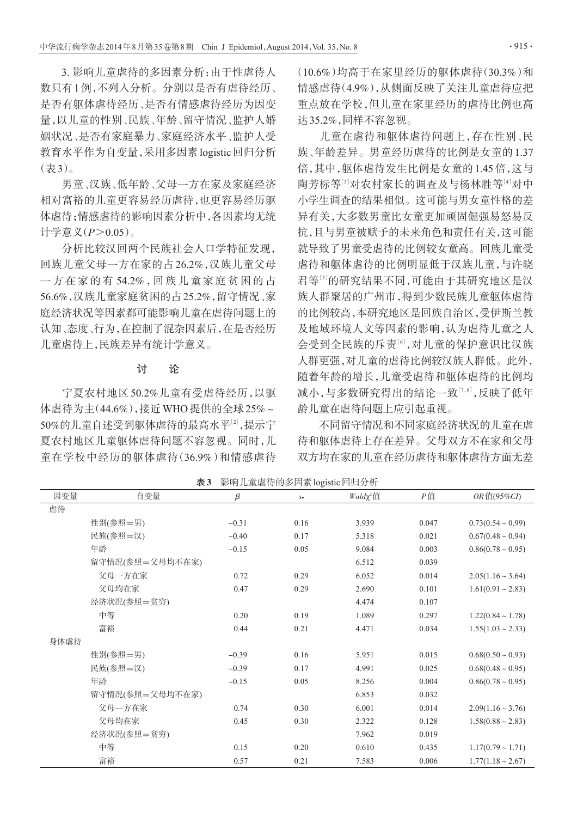3. 影响儿童虐待的多因素分析:由于性虐待人 数只有1例,不列入分析。分别以是否有虐待经历、 是否有躯体虐待经历、是否有情感虐待经历为因变 量,以儿童的性别、民族、年龄、留守情况、监护人婚 姻状况、是否有家庭暴力、家庭经济水平、监护人受 教育水平作为自变量,采用多因素logistic回归分析 (表3)。

男童、汉族、低年龄、父母一方在家及家庭经济 相对富裕的儿童更容易经历虐待,也更容易经历躯 体虐待;情感虐待的影响因素分析中,各因素均无统 计学意义 $(P>0.05)$ 。

分析比较汉回两个民族社会人口学特征发现, 回族儿童父母一方在家的占 26.2%,汉族儿童父母 一 方 在 家 的 有 54.2% ,回 族 儿 童 家 庭 贫 困 的 占 56.6%,汉族儿童家庭贫困的占25.2%,留守情况、家 庭经济状况等因素都可能影响儿童在虐待问题上的 认知、态度、行为,在控制了混杂因素后,在是否经历 儿童虐待上,民族差异有统计学意义。

## 讨 论

宁夏农村地区 50.2%儿童有受虐待经历,以躯 体虐待为主(44.6%),接近WHO提供的全球25%~ 50%的儿童自述受到躯体虐待的最高水平[<sup>2</sup>] ,提示宁 夏农村地区儿童躯体虐待问题不容忽视。同时,儿 童在学校中经历的躯体虐待(36.9%)和情感虐待

(10.6%)均高于在家里经历的躯体虐待(30.3%)和 情感虐待(4.9%),从侧面反映了关注儿童虐待应把 重点放在学校,但儿童在家里经历的虐待比例也高 达35.2%,同样不容忽视。

儿童在虐待和躯体虐待问题上,存在性别、民 族、年龄差异。男童经历虐待的比例是女童的1.37 倍,其中,躯体虐待发生比例是女童的1.45倍,这与 陶芳标等:『对农村家长的调查及与杨林胜等』『对中 小学生调查的结果相似。这可能与男女童性格的差 异有关,大多数男童比女童更加顽固倔强易怒易反 抗,且与男童被赋予的未来角色和责任有关,这可能 就导致了男童受虐待的比例较女童高。回族儿童受 虐待和躯体虐待的比例明显低于汉族儿童,与许晓 君等[5]的研究结果不同,可能由于其研究地区是汉 族人群聚居的广州市,得到少数民族儿童躯体虐待 的比例较高,本研究地区是回族自治区,受伊斯兰教 及地域环境人文等因素的影响,认为虐待儿童之人 会受到全民族的斥责[6],对儿童的保护意识比汉族 人群更强,对儿童的虐待比例较汉族人群低。此外, 随着年龄的增长,儿童受虐待和躯体虐待的比例均 减小,与多数研究得出的结论一致[<sup>7</sup>,8] ,反映了低年 龄儿童在虐待问题上应引起重视。

不同留守情况和不同家庭经济状况的儿童在虐 待和躯体虐待上存在差异。父母双方不在家和父母 双方均在家的儿童在经历虐待和躯体虐待方面无差

| 因变量  | 自变量             | $\beta$ | $S\overline{x}$ | $Wald\chi^2$ 值 | $P$ 值 | $OR$ 值(95%CI)          |  |
|------|-----------------|---------|-----------------|----------------|-------|------------------------|--|
| 虐待   |                 |         |                 |                |       |                        |  |
|      | 性别(参照=男)        | $-0.31$ | 0.16            | 3.939          | 0.047 | $0.73(0.54 \sim 0.99)$ |  |
|      | 民族(参照=汉)        | $-0.40$ | 0.17            | 5.318          | 0.021 | $0.67(0.48 \sim 0.94)$ |  |
|      | 年龄              | $-0.15$ | 0.05            | 9.084          | 0.003 | $0.86(0.78 \sim 0.95)$ |  |
|      | 留守情况(参照=父母均不在家) |         |                 | 6.512          | 0.039 |                        |  |
|      | 父母一方在家          | 0.72    | 0.29            | 6.052          | 0.014 | $2.05(1.16 \sim 3.64)$ |  |
|      | 父母均在家           | 0.47    | 0.29            | 2.690          | 0.101 | $1.61(0.91 - 2.83)$    |  |
|      | 经济状况(参照=贫穷)     |         |                 | 4.474          | 0.107 |                        |  |
|      | 中等              | 0.20    | 0.19            | 1.089          | 0.297 | $1.22(0.84 \sim 1.78)$ |  |
|      | 富裕              | 0.44    | 0.21            | 4.471          | 0.034 | $1.55(1.03 \sim 2.33)$ |  |
| 身体虐待 |                 |         |                 |                |       |                        |  |
|      | 性别(参照=男)        | $-0.39$ | 0.16            | 5.951          | 0.015 | $0.68(0.50 \sim 0.93)$ |  |
|      | 民族(参照=汉)        | $-0.39$ | 0.17            | 4.991          | 0.025 | $0.68(0.48 \sim 0.95)$ |  |
|      | 年龄              | $-0.15$ | 0.05            | 8.256          | 0.004 | $0.86(0.78 \sim 0.95)$ |  |
|      | 留守情况(参照=父母均不在家) |         |                 | 6.853          | 0.032 |                        |  |
|      | 父母一方在家          | 0.74    | 0.30            | 6.001          | 0.014 | $2.09(1.16 \sim 3.76)$ |  |
|      | 父母均在家           | 0.45    | 0.30            | 2.322          | 0.128 | $1.58(0.88 \sim 2.83)$ |  |
|      | 经济状况(参照=贫穷)     |         |                 | 7.962          | 0.019 |                        |  |
|      | 中等              | 0.15    | 0.20            | 0.610          | 0.435 | $1.17(0.79 \sim 1.71)$ |  |
|      | 富裕              | 0.57    | 0.21            | 7.583          | 0.006 | $1.77(1.18 \sim 2.67)$ |  |

表3 影响儿童虐待的多因素logistic回归分析